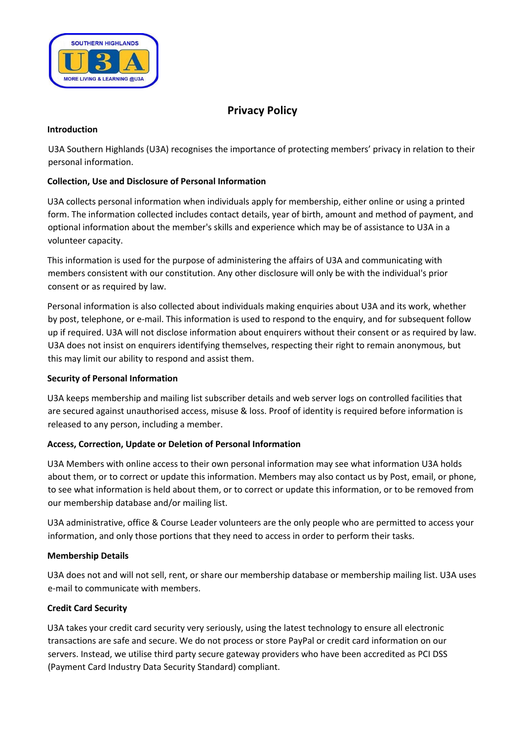

# **Privacy Policy**

## **Introduction**

U3A Southern Highlands (U3A) recognises the importance of protecting members' privacy in relation to their personal information.

# **Collection, Use and Disclosure of Personal Information**

U3A collects personal information when individuals apply for membership, either online or using a printed form. The information collected includes contact details, year of birth, amount and method of payment, and optional information about the member's skills and experience which may be of assistance to U3A in a volunteer capacity.

This information is used for the purpose of administering the affairs of U3A and communicating with members consistent with our constitution. Any other disclosure will only be with the individual's prior consent or as required by law.

Personal information is also collected about individuals making enquiries about U3A and its work, whether by post, telephone, or e-mail. This information is used to respond to the enquiry, and for subsequent follow up if required. U3A will not disclose information about enquirers without their consent or as required by law. U3A does not insist on enquirers identifying themselves, respecting their right to remain anonymous, but this may limit our ability to respond and assist them.

# **Security of Personal Information**

U3A keeps membership and mailing list subscriber details and web server logs on controlled facilities that are secured against unauthorised access, misuse & loss. Proof of identity is required before information is released to any person, including a member.

# **Access, Correction, Update or Deletion of Personal Information**

U3A Members with online access to their own personal information may see what information U3A holds about them, or to correct or update this information. Members may also contact us by Post, email, or phone, to see what information is held about them, or to correct or update this information, or to be removed from our membership database and/or mailing list.

U3A administrative, office & Course Leader volunteers are the only people who are permitted to access your information, and only those portions that they need to access in order to perform their tasks.

# **Membership Details**

U3A does not and will not sell, rent, or share our membership database or membership mailing list. U3A uses e-mail to communicate with members.

# **Credit Card Security**

U3A takes your credit card security very seriously, using the latest technology to ensure all electronic transactions are safe and secure. We do not process or store PayPal or credit card information on our servers. Instead, we utilise third party secure gateway providers who have been accredited as PCI DSS (Payment Card Industry Data Security Standard) compliant.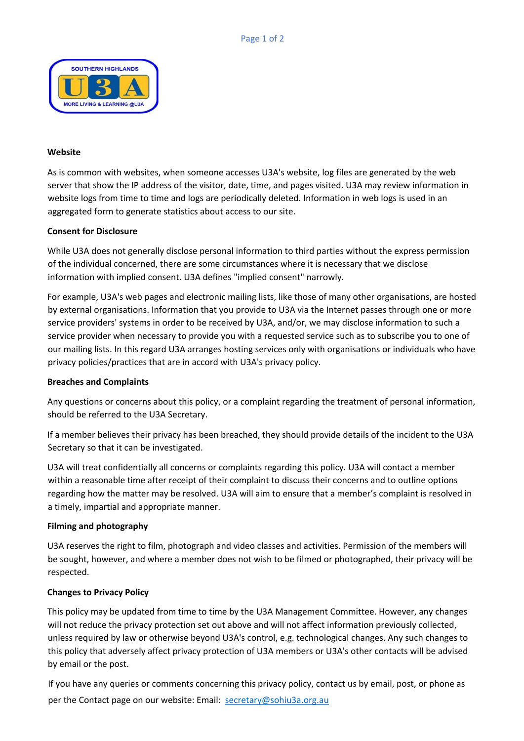

#### **Website**

As is common with websites, when someone accesses U3A's website, log files are generated by the web server that show the IP address of the visitor, date, time, and pages visited. U3A may review information in website logs from time to time and logs are periodically deleted. Information in web logs is used in an aggregated form to generate statistics about access to our site.

#### **Consent for Disclosure**

While U3A does not generally disclose personal information to third parties without the express permission of the individual concerned, there are some circumstances where it is necessary that we disclose information with implied consent. U3A defines "implied consent" narrowly.

For example, U3A's web pages and electronic mailing lists, like those of many other organisations, are hosted by external organisations. Information that you provide to U3A via the Internet passes through one or more service providers' systems in order to be received by U3A, and/or, we may disclose information to such a service provider when necessary to provide you with a requested service such as to subscribe you to one of our mailing lists. In this regard U3A arranges hosting services only with organisations or individuals who have privacy policies/practices that are in accord with U3A's privacy policy.

#### **Breaches and Complaints**

Any questions or concerns about this policy, or a complaint regarding the treatment of personal information, should be referred to the U3A Secretary.

If a member believes their privacy has been breached, they should provide details of the incident to the U3A Secretary so that it can be investigated.

U3A will treat confidentially all concerns or complaints regarding this policy. U3A will contact a member within a reasonable time after receipt of their complaint to discuss their concerns and to outline options regarding how the matter may be resolved. U3A will aim to ensure that a member's complaint is resolved in a timely, impartial and appropriate manner.

#### **Filming and photography**

U3A reserves the right to film, photograph and video classes and activities. Permission of the members will be sought, however, and where a member does not wish to be filmed or photographed, their privacy will be respected.

#### **Changes to Privacy Policy**

This policy may be updated from time to time by the U3A Management Committee. However, any changes will not reduce the privacy protection set out above and will not affect information previously collected, unless required by law or otherwise beyond U3A's control, e.g. technological changes. Any such changes to this policy that adversely affect privacy protection of U3A members or U3A's other contacts will be advised by email or the post.

If you have any queries or comments concerning this privacy policy, contact us by email, post, or phone as per the Contact page on our website: Email: secretary@sohiu3a.org.au